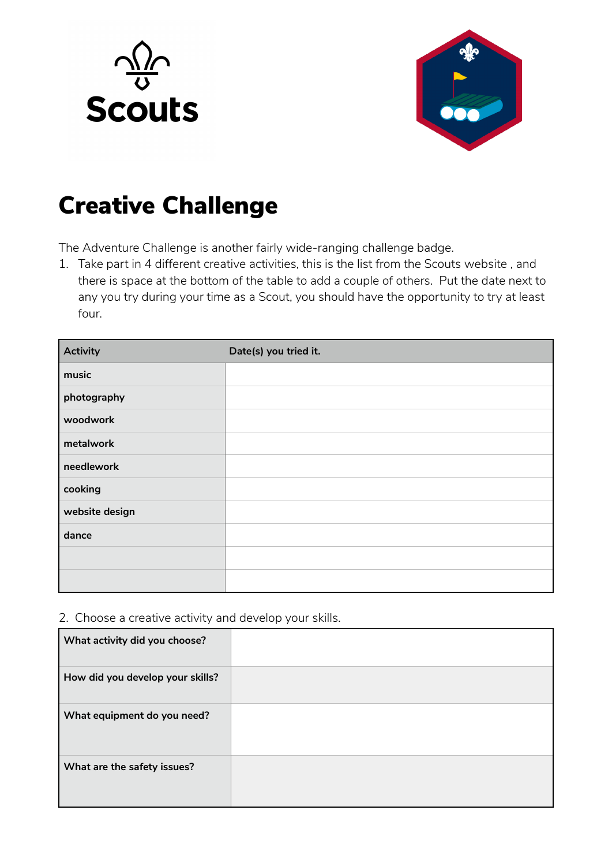



## Creative Challenge

The Adventure Challenge is another fairly wide-ranging challenge badge.

1. Take part in 4 different creative activities, this is the list from the Scouts website , and there is space at the bottom of the table to add a couple of others. Put the date next to any you try during your time as a Scout, you should have the opportunity to try at least four.

| Activity       | Date(s) you tried it. |
|----------------|-----------------------|
| music          |                       |
| photography    |                       |
| woodwork       |                       |
| metalwork      |                       |
| needlework     |                       |
| cooking        |                       |
| website design |                       |
| dance          |                       |
|                |                       |
|                |                       |

2. Choose a creative activity and develop your skills.

| What activity did you choose?    |  |
|----------------------------------|--|
| How did you develop your skills? |  |
| What equipment do you need?      |  |
| What are the safety issues?      |  |